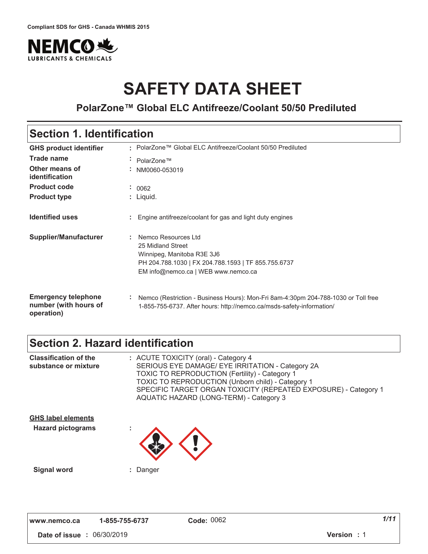

# **SAFETY DATA SHEET**

**PolarZone™ Global ELC Antifreeze/Coolant 50/50 Prediluted**

### **Section 1. Identification**

| <b>GHS product identifier</b>                                     | • PolarZone™ Global ELC Antifreeze/Coolant 50/50 Prediluted                                                                                                          |
|-------------------------------------------------------------------|----------------------------------------------------------------------------------------------------------------------------------------------------------------------|
| Trade name                                                        | PolarZone™<br>$\mathbf{r}$ .                                                                                                                                         |
| Other means of<br>identification                                  | NM0060-053019<br>$\sim$                                                                                                                                              |
| <b>Product code</b>                                               | : 0062                                                                                                                                                               |
| <b>Product type</b>                                               | : Liquid.                                                                                                                                                            |
| <b>Identified uses</b>                                            | Engine antifreeze/coolant for gas and light duty engines                                                                                                             |
| <b>Supplier/Manufacturer</b>                                      | Nemco Resources Ltd<br>25 Midland Street<br>Winnipeg, Manitoba R3E 3J6<br>PH 204.788.1030   FX 204.788.1593   TF 855.755.6737<br>EM info@nemco.ca   WEB www.nemco.ca |
| <b>Emergency telephone</b><br>number (with hours of<br>operation) | ÷.<br>Nemco (Restriction - Business Hours): Mon-Fri 8am-4:30pm 204-788-1030 or Toll free<br>1-855-755-6737. After hours: http://nemco.ca/msds-safety-information/    |

### **Section 2. Hazard identification**

| <b>Classification of the</b><br>substance or mixture  | : ACUTE TOXICITY (oral) - Category 4<br>SERIOUS EYE DAMAGE/ EYE IRRITATION - Category 2A<br><b>TOXIC TO REPRODUCTION (Fertility) - Category 1</b><br>TOXIC TO REPRODUCTION (Unborn child) - Category 1<br>SPECIFIC TARGET ORGAN TOXICITY (REPEATED EXPOSURE) - Category 1<br>AQUATIC HAZARD (LONG-TERM) - Category 3 |
|-------------------------------------------------------|----------------------------------------------------------------------------------------------------------------------------------------------------------------------------------------------------------------------------------------------------------------------------------------------------------------------|
| <b>GHS label elements</b><br><b>Hazard pictograms</b> |                                                                                                                                                                                                                                                                                                                      |
| <b>Signal word</b>                                    | : Danger                                                                                                                                                                                                                                                                                                             |

**,,," "123242 -**

**a**  $\frac{1}{2}$  *de:* 0062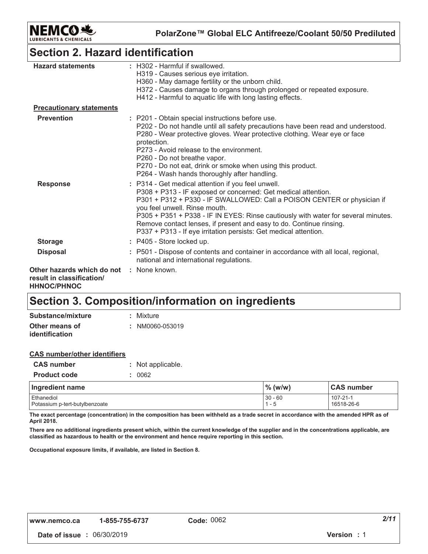

**PolarZone™ Global ELC Antifreeze/Coolant 50/50 Prediluted**

### **Section 2. Hazard identification**

| <b>Hazard statements</b>                                                      | : H302 - Harmful if swallowed.<br>H319 - Causes serious eye irritation.<br>H360 - May damage fertility or the unborn child.<br>H372 - Causes damage to organs through prolonged or repeated exposure.<br>H412 - Harmful to aquatic life with long lasting effects.                                                                                                                                                                                              |
|-------------------------------------------------------------------------------|-----------------------------------------------------------------------------------------------------------------------------------------------------------------------------------------------------------------------------------------------------------------------------------------------------------------------------------------------------------------------------------------------------------------------------------------------------------------|
| <b>Precautionary statements</b>                                               |                                                                                                                                                                                                                                                                                                                                                                                                                                                                 |
| <b>Prevention</b>                                                             | : P201 - Obtain special instructions before use.<br>P202 - Do not handle until all safety precautions have been read and understood.<br>P280 - Wear protective gloves. Wear protective clothing. Wear eye or face<br>protection.<br>P273 - Avoid release to the environment.<br>P260 - Do not breathe vapor.<br>P270 - Do not eat, drink or smoke when using this product.<br>P264 - Wash hands thoroughly after handling.                                      |
| <b>Response</b>                                                               | : P314 - Get medical attention if you feel unwell.<br>P308 + P313 - IF exposed or concerned: Get medical attention.<br>P301 + P312 + P330 - IF SWALLOWED: Call a POISON CENTER or physician if<br>you feel unwell. Rinse mouth.<br>P305 + P351 + P338 - IF IN EYES: Rinse cautiously with water for several minutes.<br>Remove contact lenses, if present and easy to do. Continue rinsing.<br>P337 + P313 - If eye irritation persists: Get medical attention. |
| <b>Storage</b>                                                                | : P405 - Store locked up.                                                                                                                                                                                                                                                                                                                                                                                                                                       |
| <b>Disposal</b>                                                               | : P501 - Dispose of contents and container in accordance with all local, regional,<br>national and international regulations.                                                                                                                                                                                                                                                                                                                                   |
| Other hazards which do not<br>result in classification/<br><b>HHNOC/PHNOC</b> | : None known.                                                                                                                                                                                                                                                                                                                                                                                                                                                   |

### **Section 3. Composition/information on ingredients**

| Substance/mixture     | : Mixture       |
|-----------------------|-----------------|
| Other means of        | : NM0060-053019 |
| <i>identification</i> |                 |

| <b>CAS number/other identifiers</b> |                   |
|-------------------------------------|-------------------|
| <b>CAS</b> number                   | : Not applicable. |
| <b>Product code</b>                 | : 0062            |
|                                     |                   |

| Ingredient name                | $\%$ (w/w) | <b>CAS number</b> |
|--------------------------------|------------|-------------------|
| Ethanediol                     | $30 - 60$  | 107-21-1          |
| Potassium p-tert-butylbenzoate | 1 - 5      | 16518-26-6        |

The exact percentage (concentration) in the composition has been withheld as a trade secret in accordance with the amended HPR as of April 2018.

There are no additional ingredients present which, within the current knowledge of the supplier and in the concentrations applicable, are classified as hazardous to health or the environment and hence require reporting in this section.

Occupational exposure limits, if available, are listed in Section 8.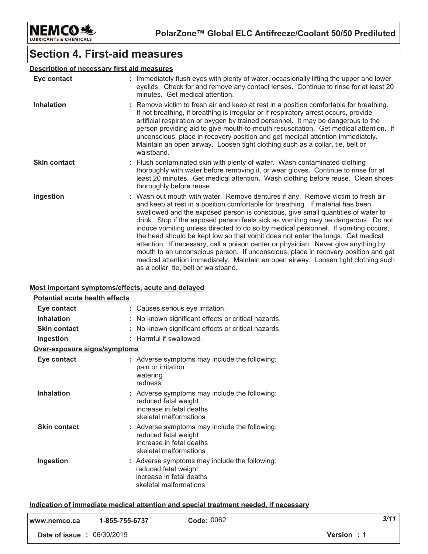

### **Section 4. First-aid measures**

### Description of necessary first aid measures

| Eye contact         | : Immediately flush eyes with plenty of water, occasionally lifting the upper and lower<br>eyelids. Check for and remove any contact lenses. Continue to rinse for at least 20<br>minutes. Get medical attention.                                                                                                                                                                                                                                                                                                                                                                                                                                                                                                                                                                                                             |
|---------------------|-------------------------------------------------------------------------------------------------------------------------------------------------------------------------------------------------------------------------------------------------------------------------------------------------------------------------------------------------------------------------------------------------------------------------------------------------------------------------------------------------------------------------------------------------------------------------------------------------------------------------------------------------------------------------------------------------------------------------------------------------------------------------------------------------------------------------------|
| <b>Inhalation</b>   | : Remove victim to fresh air and keep at rest in a position comfortable for breathing.<br>If not breathing, if breathing is irregular or if respiratory arrest occurs, provide<br>artificial respiration or oxygen by trained personnel. It may be dangerous to the<br>person providing aid to give mouth-to-mouth resuscitation. Get medical attention. If<br>unconscious, place in recovery position and get medical attention immediately.<br>Maintain an open airway. Loosen tight clothing such as a collar, tie, belt or<br>waistband.                                                                                                                                                                                                                                                                                  |
| <b>Skin contact</b> | : Flush contaminated skin with plenty of water. Wash contaminated clothing<br>thoroughly with water before removing it, or wear gloves. Continue to rinse for at<br>least 20 minutes. Get medical attention. Wash clothing before reuse. Clean shoes<br>thoroughly before reuse.                                                                                                                                                                                                                                                                                                                                                                                                                                                                                                                                              |
| Ingestion           | : Wash out mouth with water. Remove dentures if any. Remove victim to fresh air<br>and keep at rest in a position comfortable for breathing. If material has been<br>swallowed and the exposed person is conscious, give small quantities of water to<br>drink. Stop if the exposed person feels sick as vomiting may be dangerous. Do not<br>induce vomiting unless directed to do so by medical personnel. If vomiting occurs,<br>the head should be kept low so that vomit does not enter the lungs. Get medical<br>attention. If necessary, call a poison center or physician. Never give anything by<br>mouth to an unconscious person. If unconscious, place in recovery position and get<br>medical attention immediately. Maintain an open airway. Loosen tight clothing such<br>as a collar, tie, belt or waistband. |

#### Most important symptoms/effects, acute and delayed

| Potential acute health effects |                                                                                                                             |
|--------------------------------|-----------------------------------------------------------------------------------------------------------------------------|
| Eye contact                    | : Causes serious eye irritation.                                                                                            |
| <b>Inhalation</b>              | No known significant effects or critical hazards.                                                                           |
| <b>Skin contact</b>            | No known significant effects or critical hazards.                                                                           |
| Ingestion                      | Harmful if swallowed.                                                                                                       |
| Over-exposure signs/symptoms   |                                                                                                                             |
| Eye contact                    | : Adverse symptoms may include the following:<br>pain or irritation<br>watering<br>redness                                  |
| <b>Inhalation</b>              | : Adverse symptoms may include the following:<br>reduced fetal weight<br>increase in fetal deaths<br>skeletal malformations |
| <b>Skin contact</b>            | : Adverse symptoms may include the following:<br>reduced fetal weight<br>increase in fetal deaths<br>skeletal malformations |
| Ingestion                      | : Adverse symptoms may include the following:<br>reduced fetal weight<br>increase in fetal deaths<br>skeletal malformations |

#### Indication of immediate medical attention and special treatment needed, if necessary

| l www.nemco.ca                    | 1-855-755-6737 | Code: 0062 | 3/11               |
|-----------------------------------|----------------|------------|--------------------|
| <b>Date of issue : 06/30/2019</b> |                |            | <b>Version</b> : 1 |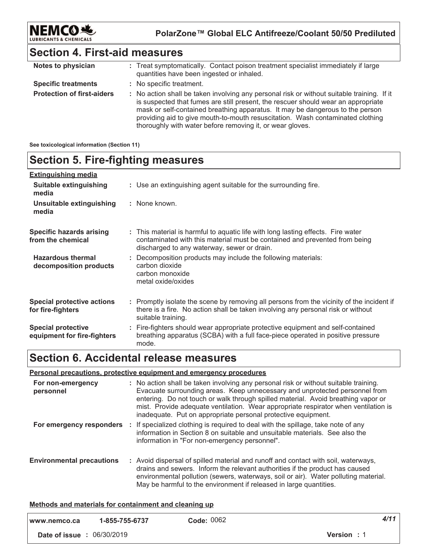

### **Section 4. First-aid measures**

| Notes to physician                | : Treat symptomatically. Contact poison treatment specialist immediately if large<br>quantities have been ingested or inhaled.                                                                                                                                                                                                                                                                                  |
|-----------------------------------|-----------------------------------------------------------------------------------------------------------------------------------------------------------------------------------------------------------------------------------------------------------------------------------------------------------------------------------------------------------------------------------------------------------------|
| <b>Specific treatments</b>        | : No specific treatment.                                                                                                                                                                                                                                                                                                                                                                                        |
| <b>Protection of first-aiders</b> | : No action shall be taken involving any personal risk or without suitable training. If it<br>is suspected that fumes are still present, the rescuer should wear an appropriate<br>mask or self-contained breathing apparatus. It may be dangerous to the person<br>providing aid to give mouth-to-mouth resuscitation. Wash contaminated clothing<br>thoroughly with water before removing it, or wear gloves. |

#### **See toxicological information (Section 11)**

### **Section 5. Fire-fighting measures**

| <b>Extinguishing media</b>                               |                                                                                                                                                                                                               |
|----------------------------------------------------------|---------------------------------------------------------------------------------------------------------------------------------------------------------------------------------------------------------------|
| Suitable extinguishing<br>media                          | : Use an extinguishing agent suitable for the surrounding fire.                                                                                                                                               |
| Unsuitable extinguishing<br>media                        | : None known.                                                                                                                                                                                                 |
| <b>Specific hazards arising</b><br>from the chemical     | : This material is harmful to aquatic life with long lasting effects. Fire water<br>contaminated with this material must be contained and prevented from being<br>discharged to any waterway, sewer or drain. |
| <b>Hazardous thermal</b><br>decomposition products       | : Decomposition products may include the following materials:<br>carbon dioxide<br>carbon monoxide<br>metal oxide/oxides                                                                                      |
| <b>Special protective actions</b><br>for fire-fighters   | : Promptly isolate the scene by removing all persons from the vicinity of the incident if<br>there is a fire. No action shall be taken involving any personal risk or without<br>suitable training.           |
| <b>Special protective</b><br>equipment for fire-fighters | : Fire-fighters should wear appropriate protective equipment and self-contained<br>breathing apparatus (SCBA) with a full face-piece operated in positive pressure<br>mode.                                   |

### **Section 6. Accidental release measures**

#### **<u>Personal precautions, protective equipment and emergency procedures</u>**

| For non-emergency<br>personnel   | : No action shall be taken involving any personal risk or without suitable training.<br>Evacuate surrounding areas. Keep unnecessary and unprotected personnel from<br>entering. Do not touch or walk through spilled material. Avoid breathing vapor or<br>mist. Provide adequate ventilation. Wear appropriate respirator when ventilation is<br>inadequate. Put on appropriate personal protective equipment. |
|----------------------------------|------------------------------------------------------------------------------------------------------------------------------------------------------------------------------------------------------------------------------------------------------------------------------------------------------------------------------------------------------------------------------------------------------------------|
| For emergency responders         | : If specialized clothing is required to deal with the spillage, take note of any<br>information in Section 8 on suitable and unsuitable materials. See also the<br>information in "For non-emergency personnel".                                                                                                                                                                                                |
| <b>Environmental precautions</b> | : Avoid dispersal of spilled material and runoff and contact with soil, waterways,<br>drains and sewers. Inform the relevant authorities if the product has caused<br>environmental pollution (sewers, waterways, soil or air). Water polluting material.<br>May be harmful to the environment if released in large quantities.                                                                                  |

#### <u>**Methods and materials for containment and cleaning up**</u>

| www.nemco.ca                      | 1-855-755-6737 | Code: 0062         | 4/11 |
|-----------------------------------|----------------|--------------------|------|
| <b>Date of issue : 06/30/2019</b> |                | <b>Version</b> : 1 |      |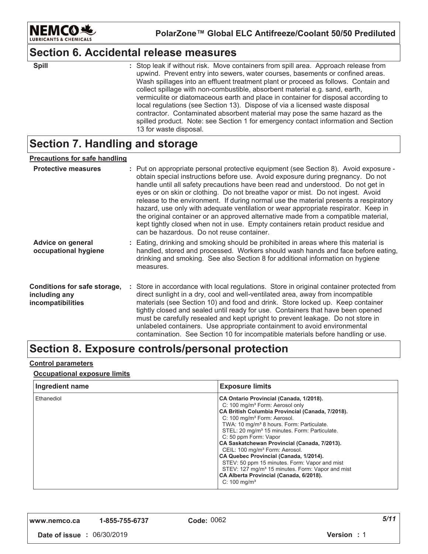

### **Section 6. Accidental release measures**

| ×<br>۰. |  |
|---------|--|

: Stop leak if without risk. Move containers from spill area. Approach release from upwind. Prevent entry into sewers, water courses, basements or confined areas. Wash spillages into an effluent treatment plant or proceed as follows. Contain and collect spillage with non-combustible, absorbent material e.g. sand, earth, vermiculite or diatomaceous earth and place in container for disposal according to local regulations (see Section 13). Dispose of via a licensed waste disposal contractor. Contaminated absorbent material may pose the same hazard as the spilled product. Note: see Section 1 for emergency contact information and Section 13 for waste disposal. **\$pill**  $\qquad \qquad$  :

### **Section 7. Handling and storage**

#### <u>Precautions for safe handling</u>

| <b>Protective measures</b>                                                | : Put on appropriate personal protective equipment (see Section 8). Avoid exposure -<br>obtain special instructions before use. Avoid exposure during pregnancy. Do not<br>handle until all safety precautions have been read and understood. Do not get in<br>eyes or on skin or clothing. Do not breathe vapor or mist. Do not ingest. Avoid<br>release to the environment. If during normal use the material presents a respiratory<br>hazard, use only with adequate ventilation or wear appropriate respirator. Keep in<br>the original container or an approved alternative made from a compatible material,<br>kept tightly closed when not in use. Empty containers retain product residue and<br>can be hazardous. Do not reuse container. |
|---------------------------------------------------------------------------|-----------------------------------------------------------------------------------------------------------------------------------------------------------------------------------------------------------------------------------------------------------------------------------------------------------------------------------------------------------------------------------------------------------------------------------------------------------------------------------------------------------------------------------------------------------------------------------------------------------------------------------------------------------------------------------------------------------------------------------------------------|
| <b>Advice on general</b><br>occupational hygiene                          | : Eating, drinking and smoking should be prohibited in areas where this material is<br>handled, stored and processed. Workers should wash hands and face before eating,<br>drinking and smoking. See also Section 8 for additional information on hygiene<br>measures.                                                                                                                                                                                                                                                                                                                                                                                                                                                                              |
| Conditions for safe storage,<br>including any<br><i>incompatibilities</i> | : Store in accordance with local regulations. Store in original container protected from<br>direct sunlight in a dry, cool and well-ventilated area, away from incompatible<br>materials (see Section 10) and food and drink. Store locked up. Keep container<br>tightly closed and sealed until ready for use. Containers that have been opened<br>must be carefully resealed and kept upright to prevent leakage. Do not store in<br>unlabeled containers. Use appropriate containment to avoid environmental<br>contamination. See Section 10 for incompatible materials before handling or use.                                                                                                                                                 |

### Section 8. Exposure controls/personal protection

#### <u>Control parameters</u>

#### <u>**<u>Occupational exposure limits</u>**</u>

| Ingredient name | <b>Exposure limits</b>                                                                                                                                                                                                                                                                                                                                                                                                                                                                                                                                                                                                                                              |
|-----------------|---------------------------------------------------------------------------------------------------------------------------------------------------------------------------------------------------------------------------------------------------------------------------------------------------------------------------------------------------------------------------------------------------------------------------------------------------------------------------------------------------------------------------------------------------------------------------------------------------------------------------------------------------------------------|
| Ethanediol      | CA Ontario Provincial (Canada, 1/2018).<br>C: 100 mg/m <sup>3</sup> Form: Aerosol only<br>CA British Columbia Provincial (Canada, 7/2018).<br>C: 100 mg/m <sup>3</sup> Form: Aerosol.<br>TWA: 10 mg/m <sup>3</sup> 8 hours. Form: Particulate.<br>STEL: 20 mg/m <sup>3</sup> 15 minutes. Form: Particulate.<br>C: 50 ppm Form: Vapor<br>CA Saskatchewan Provincial (Canada, 7/2013).<br>CEIL: 100 mg/m <sup>3</sup> Form: Aerosol.<br>CA Quebec Provincial (Canada, 1/2014).<br>STEV: 50 ppm 15 minutes. Form: Vapor and mist<br>STEV: 127 mg/m <sup>3</sup> 15 minutes. Form: Vapor and mist<br>CA Alberta Provincial (Canada, 6/2018).<br>C: $100 \text{ mg/m}^3$ |

| www.nemco.ca | 1-1 |  |
|--------------|-----|--|
|--------------|-----|--|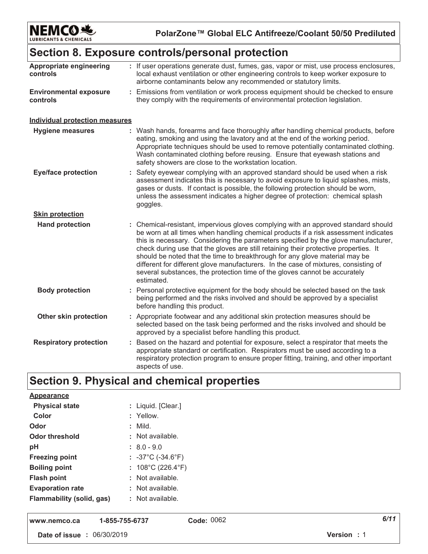

PolarZone™ Global ELC Antifreeze/Coolant 50/50 Prediluted

### Section 8. Exposure controls/personal protection

| Appropriate engineering<br>controls       | : If user operations generate dust, fumes, gas, vapor or mist, use process enclosures,<br>local exhaust ventilation or other engineering controls to keep worker exposure to<br>airborne contaminants below any recommended or statutory limits.                                                                                                                                                                                                                                                                                                                                                                          |
|-------------------------------------------|---------------------------------------------------------------------------------------------------------------------------------------------------------------------------------------------------------------------------------------------------------------------------------------------------------------------------------------------------------------------------------------------------------------------------------------------------------------------------------------------------------------------------------------------------------------------------------------------------------------------------|
| <b>Environmental exposure</b><br>controls | : Emissions from ventilation or work process equipment should be checked to ensure<br>they comply with the requirements of environmental protection legislation.                                                                                                                                                                                                                                                                                                                                                                                                                                                          |
| <b>Individual protection measures</b>     |                                                                                                                                                                                                                                                                                                                                                                                                                                                                                                                                                                                                                           |
| <b>Hygiene measures</b>                   | : Wash hands, forearms and face thoroughly after handling chemical products, before<br>eating, smoking and using the lavatory and at the end of the working period.<br>Appropriate techniques should be used to remove potentially contaminated clothing.<br>Wash contaminated clothing before reusing. Ensure that eyewash stations and<br>safety showers are close to the workstation location.                                                                                                                                                                                                                         |
| <b>Eye/face protection</b>                | : Safety eyewear complying with an approved standard should be used when a risk<br>assessment indicates this is necessary to avoid exposure to liquid splashes, mists,<br>gases or dusts. If contact is possible, the following protection should be worn,<br>unless the assessment indicates a higher degree of protection: chemical splash<br>goggles.                                                                                                                                                                                                                                                                  |
| <b>Skin protection</b>                    |                                                                                                                                                                                                                                                                                                                                                                                                                                                                                                                                                                                                                           |
| <b>Hand protection</b>                    | : Chemical-resistant, impervious gloves complying with an approved standard should<br>be worn at all times when handling chemical products if a risk assessment indicates<br>this is necessary. Considering the parameters specified by the glove manufacturer,<br>check during use that the gloves are still retaining their protective properties. It<br>should be noted that the time to breakthrough for any glove material may be<br>different for different glove manufacturers. In the case of mixtures, consisting of<br>several substances, the protection time of the gloves cannot be accurately<br>estimated. |
| <b>Body protection</b>                    | : Personal protective equipment for the body should be selected based on the task<br>being performed and the risks involved and should be approved by a specialist<br>before handling this product.                                                                                                                                                                                                                                                                                                                                                                                                                       |
| Other skin protection                     | : Appropriate footwear and any additional skin protection measures should be<br>selected based on the task being performed and the risks involved and should be<br>approved by a specialist before handling this product.                                                                                                                                                                                                                                                                                                                                                                                                 |
| <b>Respiratory protection</b>             | : Based on the hazard and potential for exposure, select a respirator that meets the<br>appropriate standard or certification. Respirators must be used according to a<br>respiratory protection program to ensure proper fitting, training, and other important<br>aspects of use.                                                                                                                                                                                                                                                                                                                                       |

## Section 9. Physical and chemical properties

| Appearance                |                                        |  |
|---------------------------|----------------------------------------|--|
| <b>Physical state</b>     | : Liquid. [Clear.]                     |  |
| Color                     | : Yellow.                              |  |
| Odor                      | : Mild.                                |  |
| Odor threshold            | : Not available.                       |  |
| рH                        | $: 8.0 - 9.0$                          |  |
| <b>Freezing point</b>     | : $-37^{\circ}$ C ( $-34.6^{\circ}$ F) |  |
| <b>Boiling point</b>      | : $108^{\circ}$ C (226.4 $^{\circ}$ F) |  |
| <b>Flash point</b>        | $:$ Not available.                     |  |
| <b>Evaporation rate</b>   | $:$ Not available.                     |  |
| Flammability (solid, gas) | : Not available.                       |  |
|                           |                                        |  |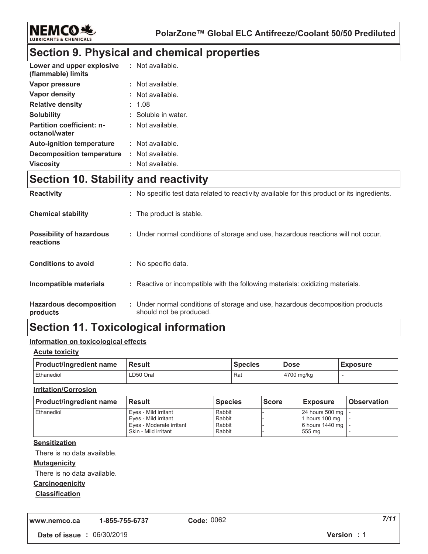

### **Section 9. Physical and chemical properties**

| Lower and upper explosive<br>(flammable) limits   | : Not available.    |
|---------------------------------------------------|---------------------|
| Vapor pressure                                    | . Not available.    |
| Vapor density                                     | : Not available.    |
| <b>Relative density</b>                           | : 1.08              |
| <b>Solubility</b>                                 | : Soluble in water. |
| <b>Partition coefficient: n-</b><br>octanol/water | : Not available.    |
| <b>Auto-ignition temperature</b>                  | : Not available.    |
| Decomposition temperature                         | : Not available.    |
| <b>Viscosity</b>                                  | Not available.      |

### **Section 10. Stability and reactivity**

| <b>Reactivity</b>                            | : No specific test data related to reactivity available for this product or its ingredients.              |
|----------------------------------------------|-----------------------------------------------------------------------------------------------------------|
| <b>Chemical stability</b>                    | : The product is stable.                                                                                  |
| <b>Possibility of hazardous</b><br>reactions | : Under normal conditions of storage and use, hazardous reactions will not occur.                         |
| <b>Conditions to avoid</b>                   | : No specific data.                                                                                       |
| Incompatible materials                       | : Reactive or incompatible with the following materials: oxidizing materials.                             |
| <b>Hazardous decomposition</b><br>products   | : Under normal conditions of storage and use, hazardous decomposition products<br>should not be produced. |

### **Section 11. Toxicological information**

#### <u>Information on toxicological effects</u>

#### <u>Acute toxicity</u>

| <b>Product/ingredient name</b> | <b>Result</b> | <b>Species</b> | <b>Dose</b> | <b>Exposure</b> |
|--------------------------------|---------------|----------------|-------------|-----------------|
| Ethanediol                     | LD50 Oral     | Rat            | 4700 mg/kg  |                 |

#### <u>**Irritation/Corrosion</u>**</u>

| <b>Product/ingredient name</b> | <b>Result</b>            | <b>Species</b> | <b>Score</b> | <b>Exposure</b>     | <b>Observation</b> |
|--------------------------------|--------------------------|----------------|--------------|---------------------|--------------------|
| l Ethanediol                   | Eves - Mild irritant     | Rabbit         |              | 24 hours 500 mg   - |                    |
|                                | Eves - Mild irritant     | Rabbit         |              | 1 hours 100 mg      |                    |
|                                | Eves - Moderate irritant | Rabbit         |              | 6 hours 1440 mg   - |                    |
|                                | Skin - Mild irritant     | Rabbit         |              | 555 mg              |                    |

#### <u>Sensitization</u>

There is no data available.

#### <u>**Mutagenicity</u>**</u>

There is no data available.

#### **Carcinogenicity**

#### <u>Classification</u>

**,,," "123242 -**

*-*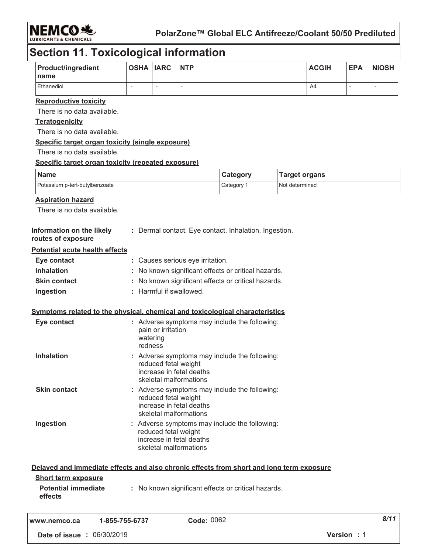

**PolarZone™ Global ELC Antifreeze/Coolant 50/50 Prediluted**

### **Section 11. Toxicological information**

| <b>Product/ingredient</b><br>I name | <b>OSHA IARC</b> |   | <b>NTP</b> | <b>ACGIH</b> | <b>EPA</b> | <b>NIOSH</b> |
|-------------------------------------|------------------|---|------------|--------------|------------|--------------|
| Ethanediol                          |                  | - |            | A4           |            |              |

#### <u>**Reproductive toxicity</u>**</u>

There is no data available.

#### <u>Teratogenicity</u>

There is no data available.

#### <u>**<u>Specific target organ toxicity (single exposure)</u>**</u>

There is no data available.

#### <u>**<u>Specific target organ toxicity (repeated exposure)</u>**</u>

| Name                           | Category | <b>Target organs</b> |
|--------------------------------|----------|----------------------|
| Potassium p-tert-butylbenzoate | Category | Not determined       |

#### <u>Aspiration hazard</u>

There is no data available.

| Information on the likely<br>routes of exposure | : Dermal contact. Eye contact. Inhalation. Ingestion. |
|-------------------------------------------------|-------------------------------------------------------|
| <b>Potential acute health effects</b>           |                                                       |
| Eye contact                                     | : Causes serious eye irritation.                      |
| <b>Inhalation</b>                               | : No known significant effects or critical hazards.   |
| <b>Skin contact</b>                             | : No known significant effects or critical hazards.   |
| Ingestion                                       | : Harmful if swallowed.                               |

#### <u>**<u>Symptoms related to the physical, chemical and toxicological characteristics</u>**</u>

| Eye contact         | : Adverse symptoms may include the following:<br>pain or irritation<br>watering<br>redness                                  |
|---------------------|-----------------------------------------------------------------------------------------------------------------------------|
| <b>Inhalation</b>   | : Adverse symptoms may include the following:<br>reduced fetal weight<br>increase in fetal deaths<br>skeletal malformations |
| <b>Skin contact</b> | : Adverse symptoms may include the following:<br>reduced fetal weight<br>increase in fetal deaths<br>skeletal malformations |
| Ingestion           | : Adverse symptoms may include the following:<br>reduced fetal weight<br>increase in fetal deaths<br>skeletal malformations |

| <b>Short term exposure</b><br><b>Potential immediate</b><br>effects | Delayed and immediate effects and also chronic effects from short and long term exposure<br>: No known significant effects or critical hazards. |  |
|---------------------------------------------------------------------|-------------------------------------------------------------------------------------------------------------------------------------------------|--|
|                                                                     | $C_{\text{max}}$ , 0062<br>A OEE 7EE C797                                                                                                       |  |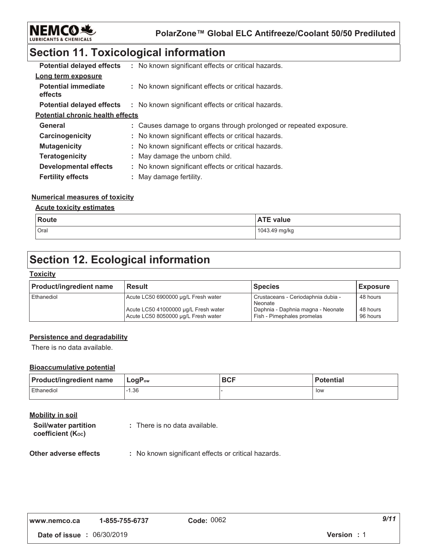

### **Section 11. Toxicological information**

| <b>Potential delayed effects</b>        | : No known significant effects or critical hazards.               |
|-----------------------------------------|-------------------------------------------------------------------|
| Long term exposure                      |                                                                   |
| <b>Potential immediate</b><br>effects   | : No known significant effects or critical hazards.               |
| <b>Potential delayed effects</b>        | : No known significant effects or critical hazards.               |
| <b>Potential chronic health effects</b> |                                                                   |
| General                                 | : Causes damage to organs through prolonged or repeated exposure. |
| Carcinogenicity                         | : No known significant effects or critical hazards.               |
| <b>Mutagenicity</b>                     | : No known significant effects or critical hazards.               |
| <b>Teratogenicity</b>                   | : May damage the unborn child.                                    |
| <b>Developmental effects</b>            | : No known significant effects or critical hazards.               |
| <b>Fertility effects</b>                | : May damage fertility.                                           |

#### <u>Numerical measures of toxicity</u>

#### <u>**<u>Acute toxicity estimates</u>**</u>

| <b>Route</b> | <b>ATE value</b> |
|--------------|------------------|
| Oral         | 1043.49 mg/kg    |

### **Section 12. Ecological information**

#### <u> Toxicity</u>

| <b>Product/ingredient name</b> | <b>Result</b>                                                               | <b>Species</b>                                                  | <b>Exposure</b>      |
|--------------------------------|-----------------------------------------------------------------------------|-----------------------------------------------------------------|----------------------|
| Ethanediol                     | Acute LC50 6900000 µg/L Fresh water                                         | Crustaceans - Ceriodaphnia dubia -<br>Neonate                   | 48 hours             |
|                                | Acute LC50 41000000 µg/L Fresh water<br>Acute LC50 8050000 µg/L Fresh water | Daphnia - Daphnia magna - Neonate<br>Fish - Pimephales promelas | 48 hours<br>96 hours |

#### **Persistence and degradability**

There is no data available.

#### **Bioaccumulative potential**

| <b>Product/ingredient name</b> | $\mathsf{LogP}_\mathsf{ow}$ | <b>BCF</b> | <b>Potential</b> |
|--------------------------------|-----------------------------|------------|------------------|
| Ethanediol                     | $-1.36$                     |            | low              |

### <u>Mobility in soil</u>

| <b>Soil/water partition</b> | : There is no data available. |
|-----------------------------|-------------------------------|
| coefficient (Koc)           |                               |

#### **Other adverse effect**  $\colon$  No known significant effects or critical hazards.

| www.nemco.ca | 1-855-755-6737 | C |
|--------------|----------------|---|
|--------------|----------------|---|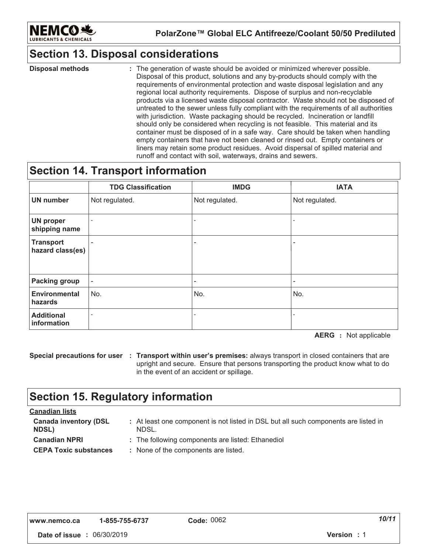

### **Section 13. Disposal considerations**

: The generation of waste should be avoided or minimized wherever possible. Disposal of this product, solutions and any by-products should comply with the requirements of environmental protection and waste disposal legislation and any regional local authority requirements. Dispose of surplus and non-recyclable products via a licensed waste disposal contractor. Waste should not be disposed of untreated to the sewer unless fully compliant with the requirements of all authorities with jurisdiction. Waste packaging should be recycled. Incineration or landfill should only be considered when recycling is not feasible. This material and its container must be disposed of in a safe way. Care should be taken when handling empty containers that have not been cleaned or rinsed out. Empty containers or liners may retain some product residues. Avoid dispersal of spilled material and runoff and contact with soil, waterways, drains and sewers. **Disposal methods :**  $\qquad \qquad :$ 

### **Section 14. Transport information**

|                                      | <b>TDG Classification</b> | <b>IMDG</b>    | <b>IATA</b>              |
|--------------------------------------|---------------------------|----------------|--------------------------|
| <b>UN number</b>                     | Not regulated.            | Not regulated. | Not regulated.           |
| <b>UN proper</b><br>shipping name    |                           |                |                          |
| <b>Transport</b><br>hazard class(es) |                           | ۰              |                          |
| <b>Packing group</b>                 | ٠                         | ۰              | $\overline{\phantom{0}}$ |
| <b>Environmental</b><br>hazards      | No.                       | No.            | No.                      |
| <b>Additional</b><br>information     |                           |                |                          |

**AERG** : Not applicable

**Special precautions for user : Transport within user's premises: always transport in closed containers that are** upright and secure. Ensure that persons transporting the product know what to do in the event of an accident or spillage.

### **Section 15. Regulatory information**

| <b>Canadian lists</b>                        |                                                                                              |
|----------------------------------------------|----------------------------------------------------------------------------------------------|
| <b>Canada inventory (DSL</b><br><b>NDSL)</b> | : At least one component is not listed in DSL but all such components are listed in<br>NDSL. |
| <b>Canadian NPRI</b>                         | : The following components are listed: Ethanediol                                            |
| <b>CEPA Toxic substances</b>                 | : None of the components are listed.                                                         |